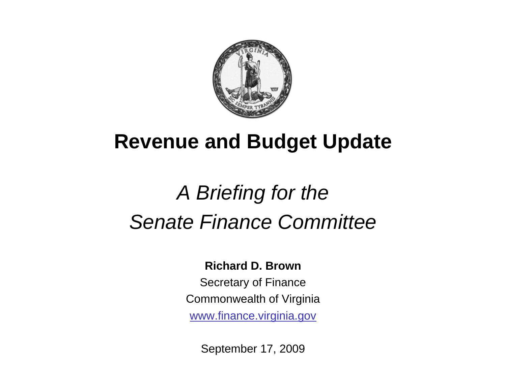

## **Revenue and Budget Update**

# *A Briefing for the Senate Finance Committee*

#### **Richard D. Brown**

Secretary of Finance Commonwealth of Virginia www.finance.virginia.gov

September 17, 2009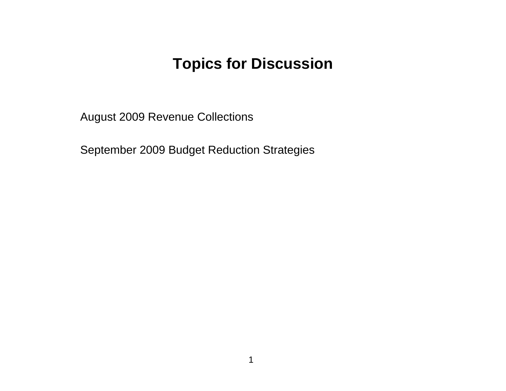#### **Topics for Discussion**

August 2009 Revenue Collections

September 2009 Budget Reduction Strategies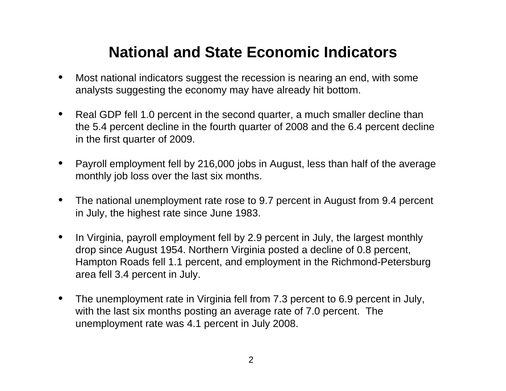## **National and State Economic Indicators**

- • Most national indicators suggest the recession is nearing an end, with some analysts suggesting the economy may have already hit bottom.
- • Real GDP fell 1.0 percent in the second quarter, a much smaller decline than the 5.4 percent decline in the fourth quarter of 2008 and the 6.4 percent decline in the first quarter of 2009.
- • Payroll employment fell by 216,000 jobs in August, less than half of the average monthly job loss over the last six months.
- • The national unemployment rate rose to 9.7 percent in August from 9.4 percent in July, the highest rate since June 1983.
- • In Virginia, payroll employment fell by 2.9 percent in July, the largest monthly drop since August 1954. Northern Virginia posted a decline of 0.8 percent, Hampton Roads fell 1.1 percent, and employment in the Richmond-Petersburg area fell 3.4 percent in July.
- • The unemployment rate in Virginia fell from 7.3 percent to 6.9 percent in July, with the last six months posting an average rate of 7.0 percent. The unemployment rate was 4.1 percent in July 2008.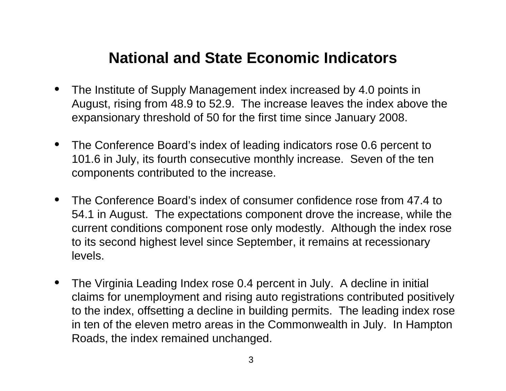## **National and State Economic Indicators**

- • The Institute of Supply Management index increased by 4.0 points in August, rising from 48.9 to 52.9. The increase leaves the index above the expansionary threshold of 50 for the first time since January 2008.
- $\bullet$  The Conference Board's index of leading indicators rose 0.6 percent to 101.6 in July, its fourth consecutive monthly increase. Seven of the ten components contributed to the increase.
- • The Conference Board's index of consumer confidence rose from 47.4 to 54.1 in August. The expectations component drove the increase, while the current conditions component rose only modestly. Although the index rose to its second highest level since September, it remains at recessionary levels.
- • The Virginia Leading Index rose 0.4 percent in July. A decline in initial claims for unemployment and rising auto registrations contributed positively to the index, offsetting a decline in building permits. The leading index rose in ten of the eleven metro areas in the Commonwealth in July. In Hampton Roads, the index remained unchanged.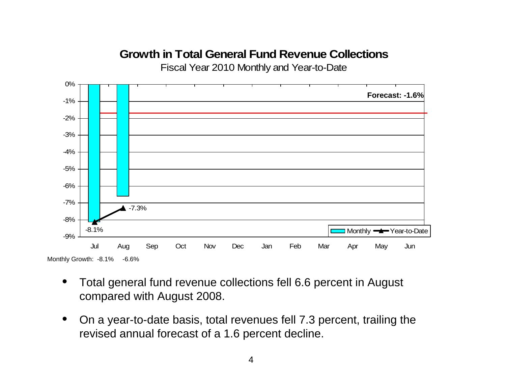#### **Growth in Total General Fund Revenue Collections**

Fiscal Year 2010 Monthly and Year-to-Date



- • Total general fund revenue collections fell 6.6 percent in August compared with August 2008.
- $\bullet$  On a year-to-date basis, total revenues fell 7.3 percent, trailing the revised annual forecast of a 1.6 percent decline.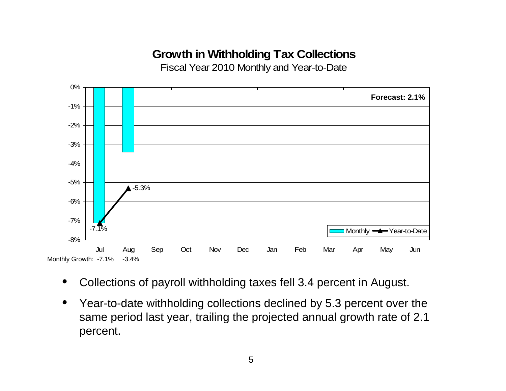#### **Growth in Withholding Tax Collections**

Fiscal Year 2010 Monthly and Year-to-Date



- •Collections of payroll withholding taxes fell 3.4 percent in August.
- $\bullet$  Year-to-date withholding collections declined by 5.3 percent over the same period last year, trailing the projected annual growth rate of 2.1 percent.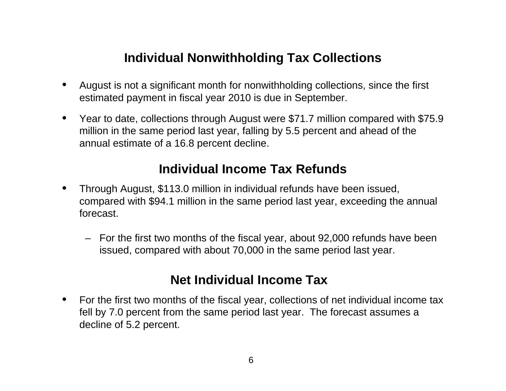#### **Individual Nonwithholding Tax Collections**

- • August is not a significant month for nonwithholding collections, since the first estimated payment in fiscal year 2010 is due in September.
- $\bullet$  Year to date, collections through August were \$71.7 million compared with \$75.9 million in the same period last year, falling by 5.5 percent and ahead of the annual estimate of a 16.8 percent decline.

#### **Individual Income Tax Refunds**

- $\bullet$  Through August, \$113.0 million in individual refunds have been issued, compared with \$94.1 million in the same period last year, exceeding the annual forecast.
	- For the first two months of the fiscal year, about 92,000 refunds have been issued, compared with about 70,000 in the same period last year.

#### **Net Individual Income Tax**

 $\bullet$  For the first two months of the fiscal year, collections of net individual income tax fell by 7.0 percent from the same period last year. The forecast assumes a decline of 5.2 percent.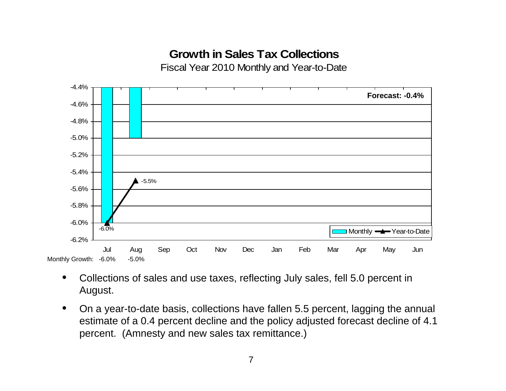#### **Growth in Sales Tax Collections**

Fiscal Year 2010 Monthly and Year-to-Date



- • Collections of sales and use taxes, reflecting July sales, fell 5.0 percent in August.
- $\bullet$  On a year-to-date basis, collections have fallen 5.5 percent, lagging the annual estimate of a 0.4 percent decline and the policy adjusted forecast decline of 4.1 percent. (Amnesty and new sales tax remittance.)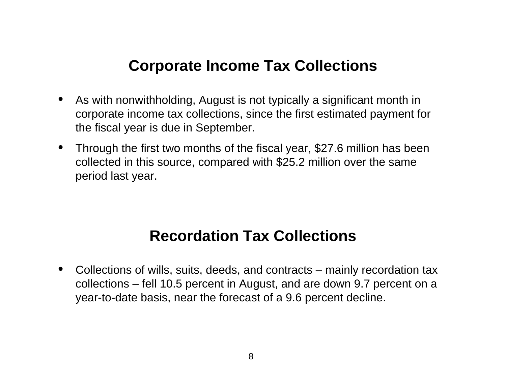#### **Corporate Income Tax Collections**

- • As with nonwithholding, August is not typically a significant month in corporate income tax collections, since the first estimated payment for the fiscal year is due in September.
- • Through the first two months of the fiscal year, \$27.6 million has been collected in this source, compared with \$25.2 million over the same period last year.

### **Recordation Tax Collections**

• Collections of wills, suits, deeds, and contracts – mainly recordation tax collections – fell 10.5 percent in August, and are down 9.7 percent on a year-to-date basis, near the forecast of a 9.6 percent decline.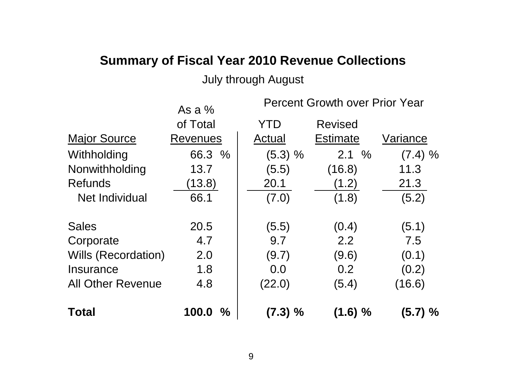#### **Summary of Fiscal Year 2010 Revenue Collections**

#### July through August

|                            | As a $%$               | <b>Percent Growth over Prior Year</b> |                 |            |  |
|----------------------------|------------------------|---------------------------------------|-----------------|------------|--|
|                            | of Total               | YTD                                   | <b>Revised</b>  |            |  |
| <b>Major Source</b>        | <b>Revenues</b>        | Actual                                | <b>Estimate</b> | Variance   |  |
| Withholding                | 66.3 %                 | (5.3) %                               | 2.1%            | (7.4) %    |  |
| Nonwithholding             | 13.7                   | (5.5)                                 | (16.8)          | 11.3       |  |
| <b>Refunds</b>             | (13.8)                 | 20.1                                  | (1.2)           | 21.3       |  |
| Net Individual             | 66.1                   | (7.0)                                 | (1.8)           | (5.2)      |  |
| <b>Sales</b>               | 20.5                   | (5.5)                                 | (0.4)           | (5.1)      |  |
| Corporate                  | 4.7                    | 9.7                                   | 2.2             | 7.5        |  |
| <b>Wills (Recordation)</b> | 2.0                    | (9.7)                                 | (9.6)           | (0.1)      |  |
| Insurance                  | 1.8                    | 0.0                                   | 0.2             | (0.2)      |  |
| <b>All Other Revenue</b>   | 4.8                    | (22.0)                                | (5.4)           | (16.6)     |  |
| <b>Total</b>               | 100.0<br>$\frac{0}{0}$ | $(7.3) \%$                            | (1.6) %         | $(5.7) \%$ |  |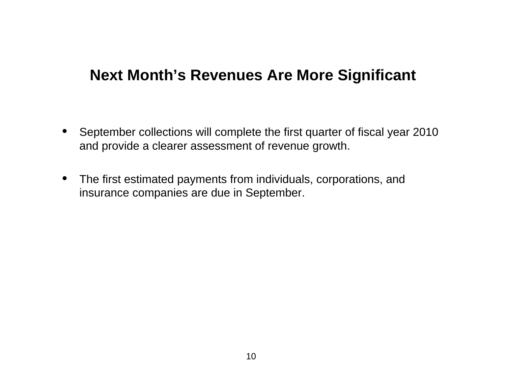#### **Next Month's Revenues Are More Significant**

- September collections will complete the first quarter of fiscal year 2010 and provide a clearer assessment of revenue growth.
- The first estimated payments from individuals, corporations, and insurance companies are due in September.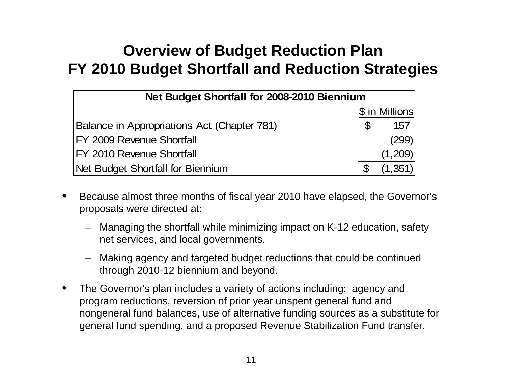## **Overview of Budget Reduction Plan FY 2010 Budget Shortfall and Reduction Strategies**

| Net Budget Shortfall for 2008-2010 Biennium |    |                |  |  |
|---------------------------------------------|----|----------------|--|--|
|                                             |    | \$ in Millions |  |  |
| Balance in Appropriations Act (Chapter 781) | \$ | 157            |  |  |
| FY 2009 Revenue Shortfall                   |    | (299)          |  |  |
| <b>FY 2010 Revenue Shortfall</b>            |    | (1,209)        |  |  |
| Net Budget Shortfall for Biennium           |    | (1,351)        |  |  |

- • Because almost three months of fiscal year 2010 have elapsed, the Governor's proposals were directed at:
	- Managing the shortfall while minimizing impact on K-12 education, safety net services, and local governments.
	- Making agency and targeted budget reductions that could be continued through 2010-12 biennium and beyond.
- • The Governor's plan includes a variety of actions including: agency and program reductions, reversion of prior year unspent general fund and nongeneral fund balances, use of alternative funding sources as a substitute for general fund spending, and a proposed Revenue Stabilization Fund transfer.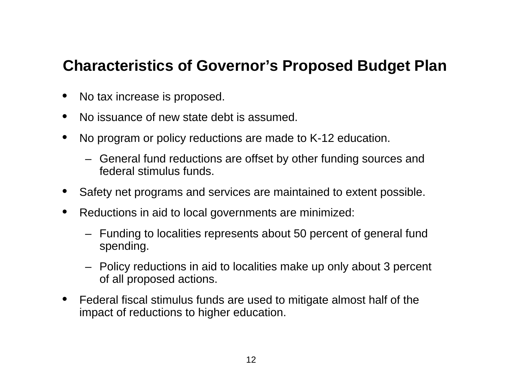#### **Characteristics of Governor's Proposed Budget Plan**

- •No tax increase is proposed.
- •No issuance of new state debt is assumed.
- • No program or policy reductions are made to K-12 education.
	- General fund reductions are offset by other funding sources and federal stimulus funds.
- •Safety net programs and services are maintained to extent possible.
- $\bullet$  Reductions in aid to local governments are minimized:
	- Funding to localities represents about 50 percent of general fund spending.
	- Policy reductions in aid to localities make up only about 3 percent of all proposed actions.
- $\bullet$  Federal fiscal stimulus funds are used to mitigate almost half of the impact of reductions to higher education.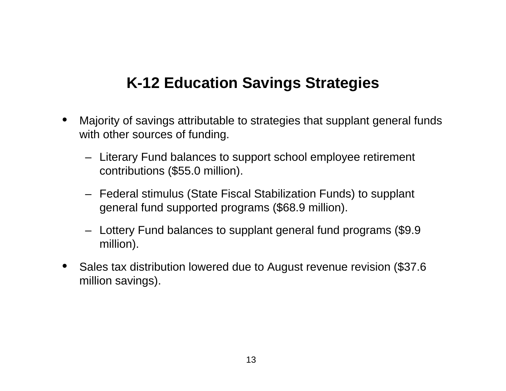## **K-12 Education Savings Strategies**

- • Majority of savings attributable to strategies that supplant general funds with other sources of funding.
	- Literary Fund balances to support school employee retirement contributions (\$55.0 million).
	- Federal stimulus (State Fiscal Stabilization Funds) to supplant general fund supported programs (\$68.9 million).
	- Lottery Fund balances to supplant general fund programs (\$9.9 million).
- $\bullet$  Sales tax distribution lowered due to August revenue revision (\$37.6 million savings).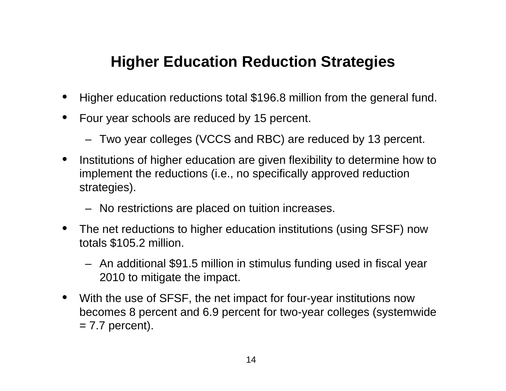## **Higher Education Reduction Strategies**

- •Higher education reductions total \$196.8 million from the general fund.
- $\bullet$  Four year schools are reduced by 15 percent.
	- Two year colleges (VCCS and RBC) are reduced by 13 percent.
- • Institutions of higher education are given flexibility to determine how to implement the reductions (i.e., no specifically approved reduction strategies).
	- No restrictions are placed on tuition increases.
- • The net reductions to higher education institutions (using SFSF) now totals \$105.2 million.
	- An additional \$91.5 million in stimulus funding used in fiscal year 2010 to mitigate the impact.
- With the use of SFSF, the net impact for four-year institutions now becomes 8 percent and 6.9 percent for two-year colleges (systemwide  $= 7.7$  percent).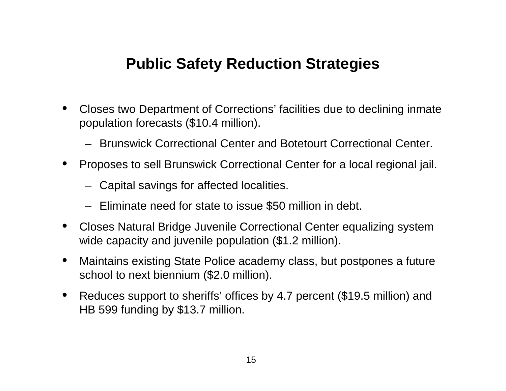### **Public Safety Reduction Strategies**

- • Closes two Department of Corrections' facilities due to declining inmate population forecasts (\$10.4 million).
	- Brunswick Correctional Center and Botetourt Correctional Center.
- Proposes to sell Brunswick Correctional Center for a local regional jail.
	- Capital savings for affected localities.
	- Eliminate need for state to issue \$50 million in debt.
- • Closes Natural Bridge Juvenile Correctional Center equalizing system wide capacity and juvenile population (\$1.2 million).
- $\bullet$  Maintains existing State Police academy class, but postpones a future school to next biennium (\$2.0 million).
- $\bullet$  Reduces support to sheriffs' offices by 4.7 percent (\$19.5 million) and HB 599 funding by \$13.7 million.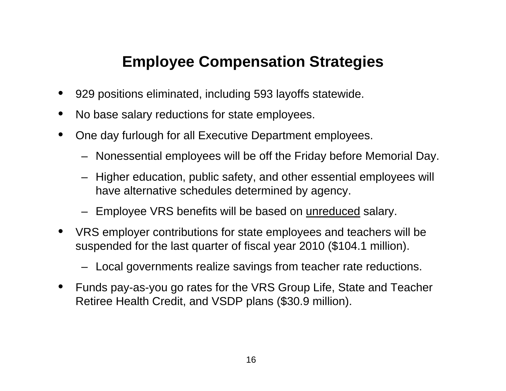## **Employee Compensation Strategies**

- •929 positions eliminated, including 593 layoffs statewide.
- •No base salary reductions for state employees.
- • One day furlough for all Executive Department employees.
	- Nonessential employees will be off the Friday before Memorial Day.
	- Higher education, public safety, and other essential employees will have alternative schedules determined by agency.
	- Employee VRS benefits will be based on <u>unreduced</u> salary.
- • VRS employer contributions for state employees and teachers will be suspended for the last quarter of fiscal year 2010 (\$104.1 million).
	- Local governments realize savings from teacher rate reductions.
- • Funds pay-as-you go rates for the VRS Group Life, State and Teacher Retiree Health Credit, and VSDP plans (\$30.9 million).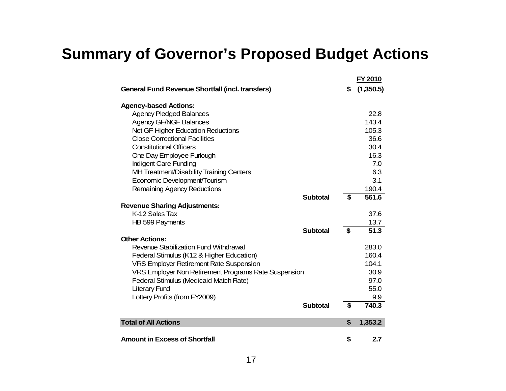## **Summary of Governor's Proposed Budget Actions**

|                                                         |    | <u>FY 2010</u> |
|---------------------------------------------------------|----|----------------|
| <b>General Fund Revenue Shortfall (incl. transfers)</b> | \$ | (1,350.5)      |
| <b>Agency-based Actions:</b>                            |    |                |
| <b>Agency Pledged Balances</b>                          |    | 22.8           |
| <b>Agency GF/NGF Balances</b>                           |    | 143.4          |
| Net GF Higher Education Reductions                      |    | 105.3          |
| <b>Close Correctional Facilities</b>                    |    | 36.6           |
| <b>Constitutional Officers</b>                          |    | 30.4           |
| One Day Employee Furlough                               |    | 16.3           |
| Indigent Care Funding                                   |    | 7.0            |
| MH Treatment/Disability Training Centers                |    | 6.3            |
| Economic Development/Tourism                            |    | 3.1            |
| Remaining Agency Reductions                             |    | 190.4          |
| <b>Subtotal</b>                                         | \$ | 561.6          |
| <b>Revenue Sharing Adjustments:</b>                     |    |                |
| K-12 Sales Tax                                          |    | 37.6           |
| HB 599 Payments                                         |    | 13.7           |
| <b>Subtotal</b>                                         | \$ | 51.3           |
| <b>Other Actions:</b>                                   |    |                |
| Revenue Stabilization Fund Withdrawal                   |    | 283.0          |
| Federal Stimulus (K12 & Higher Education)               |    | 160.4          |
| <b>VRS Employer Retirement Rate Suspension</b>          |    | 104.1          |
| VRS Employer Non Retirement Programs Rate Suspension    |    | 30.9           |
| Federal Stimulus (Medicaid Match Rate)                  |    | 97.0           |
| <b>Literary Fund</b>                                    |    | 55.0           |
| Lottery Profits (from FY2009)                           |    | 9.9            |
| <b>Subtotal</b>                                         | \$ | 740.3          |
| <b>Total of All Actions</b>                             | S  | 1,353.2        |
| <b>Amount in Excess of Shortfall</b>                    | \$ | 2.7            |